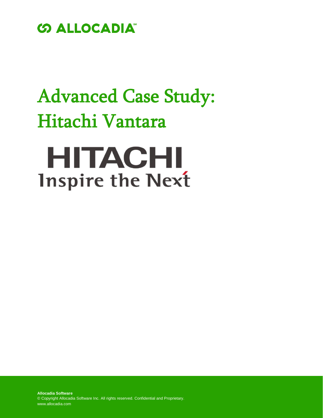

## Advanced Case Study: Hitachi Vantara

# **HITACHI Inspire the Next**

**Allocadia Software** © Copyright Allocadia Software Inc. All rights reserved. Confidential and Proprietary. www.allocadia.com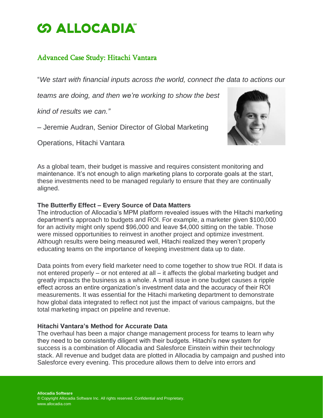### **SALLOCADIA**

#### Advanced Case Study: Hitachi Vantara

"*We start with financial inputs across the world, connect the data to actions our*

*teams are doing, and then we're working to show the best*

*kind of results we can."*

– Jeremie Audran, Senior Director of Global Marketing

Operations, Hitachi Vantara



As a global team, their budget is massive and requires consistent monitoring and maintenance. It's not enough to align marketing plans to corporate goals at the start, these investments need to be managed regularly to ensure that they are continually aligned.

#### **The Butterfly Effect – Every Source of Data Matters**

The introduction of Allocadia's MPM platform revealed issues with the Hitachi marketing department's approach to budgets and ROI. For example, a marketer given \$100,000 for an activity might only spend \$96,000 and leave \$4,000 sitting on the table. Those were missed opportunities to reinvest in another project and optimize investment. Although results were being measured well, Hitachi realized they weren't properly educating teams on the importance of keeping investment data up to date.

Data points from every field marketer need to come together to show true ROI. If data is not entered properly – or not entered at all – it affects the global marketing budget and greatly impacts the business as a whole. A small issue in one budget causes a ripple effect across an entire organization's investment data and the accuracy of their ROI measurements. It was essential for the Hitachi marketing department to demonstrate how global data integrated to reflect not just the impact of various campaigns, but the total marketing impact on pipeline and revenue.

#### **Hitachi Vantara's Method for Accurate Data**

The overhaul has been a major change management process for teams to learn why they need to be consistently diligent with their budgets. Hitachi's new system for success is a combination of Allocadia and Salesforce Einstein within their technology stack. All revenue and budget data are plotted in Allocadia by campaign and pushed into Salesforce every evening. This procedure allows them to delve into errors and